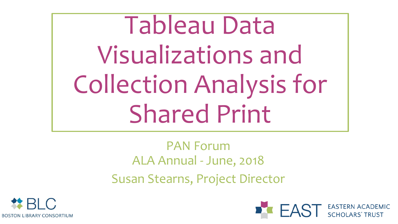Tableau Data Visualizations and Collection Analysis for Shared Print

> PAN Forum ALA Annual - June, 2018 Susan Stearns, Project Director



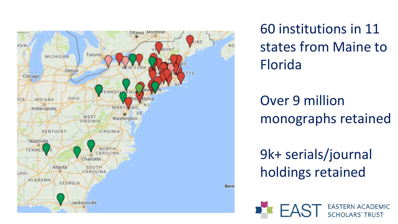

60 institutions in 11 states from Maine to Florida

Over 9 million monographs retained

9k+ serials/journal holdings retained

AST EASTERN ACADEMIC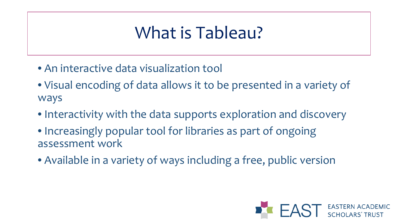# What is Tableau?

- An interactive data visualization tool
- Visual encoding of data allows it to be presented in a variety of ways
- Interactivity with the data supports exploration and discovery
- Increasingly popular tool for libraries as part of ongoing assessment work
- Available in a variety of ways including a free, public version

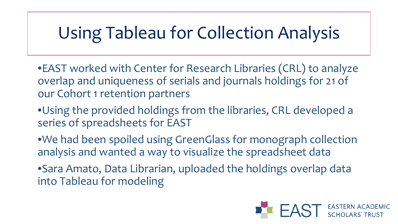# Using Tableau for Collection Analysis

- •EAST worked with Center for Research Libraries (CRL) to analyze overlap and uniqueness of serials and journals holdings for 21 of our Cohort 1 retention partners
- •Using the provided holdings from the libraries, CRL developed a series of spreadsheets for EAST
- •We had been spoiled using GreenGlass for monograph collection analysis and wanted a way to visualize the spreadsheet data
- •Sara Amato, Data Librarian, uploaded the holdings overlap data into Tableau for modeling

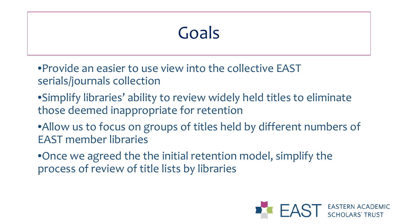# Goals

•Provide an easier to use view into the collective EAST serials/journals collection

- •Simplify libraries' ability to review widely held titles to eliminate those deemed inappropriate for retention
- •Allow us to focus on groups of titles held by different numbers of EAST member libraries
- •Once we agreed the the initial retention model, simplify the process of review of title lists by libraries

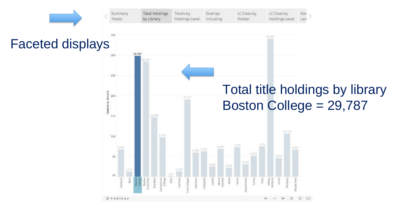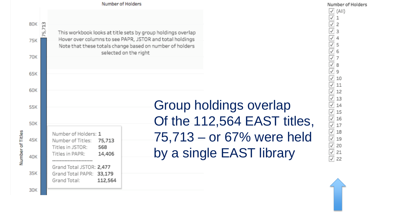

 $\sqrt{}$  (All)  $\frac{\boxed{1}}{\boxed{1}}$   $\frac{2}{3}$   $\frac{3}{3}$  $\begin{array}{c} 100 & 400 \\ 100 & 100 \\ 100 & 100 \\ 100 & 100 \\ 100 & 100 \\ 100 & 100 \\ 100 & 100 \\ 100 & 100 \\ 100 & 100 \\ 100 & 100 \\ 100 & 100 \\ 100 & 100 \\ 100 & 100 \\ 100 & 100 \\ 100 & 100 \\ 100 & 100 \\ 100 & 100 \\ 100 & 100 \\ 100 & 100 \\ 100 & 100 \\ 100 & 100 \\ 10$  $\sqrt{10}$  $\sqrt{11}$ ✓ 12  $\sqrt{13}$  $\sqrt{14}$  $\sqrt{15}$  $\overline{\checkmark}$ 16  $\sqrt{17}$  $\checkmark$ 18  $\sqrt{19}$  $\checkmark$ 20  $\sqrt{21}$  $\overline{v}$  22

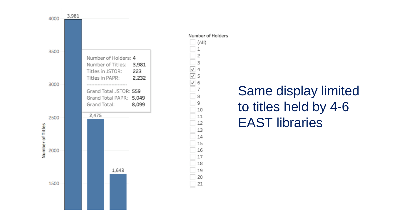

## Same display limited to titles held by 4-6 EAST libraries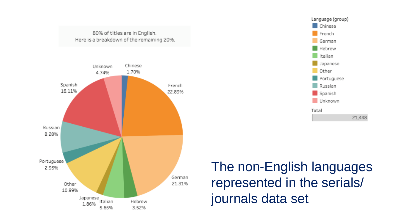



The non-English languages represented in the serials/ journals data set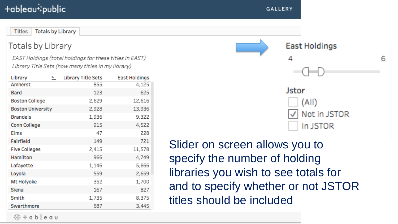#### +ableau<sup>i</sup>‡public

**Totals by Library** Titles

#### Totals by Library

EAST Holdings (total holdings for these titles in EAST) Library Title Sets (how many titles in my library)

| Library                  | ╘ | Library Title Sets | <b>East Holdings</b> |
|--------------------------|---|--------------------|----------------------|
| Amherst                  |   | 855                | 4,125                |
| Bard                     |   | 123                | 625                  |
| <b>Boston College</b>    |   | 2,629              | 12,616               |
| <b>Boston University</b> |   | 2,928              | 13,936               |
| <b>Brandeis</b>          |   | 1,936              | 9,322                |
| Conn College             |   | 915                | 4,522                |
| Elms                     |   | 47                 | 228                  |
| Fairfield                |   | 149                | 721                  |
| <b>Five Colleges</b>     |   | 2,415              | 11,578               |
| Hamilton                 |   | 966                | 4,749                |
| Lafayette                |   | 1,146              | 5,666                |
| Loyola                   |   | 559                | 2,659                |
| Mt Holyoke               |   | 352                | 1,700                |
| Siena                    |   | 167                | 827                  |
| Smith                    |   | 1,735              | 8,375                |
| Swarthmore               |   | 687                | 3,445                |



Slider on screen allows you to specify the number of holding libraries you wish to see totals for and to specify whether or not JSTOR titles should be included

⇔ + a b | e a u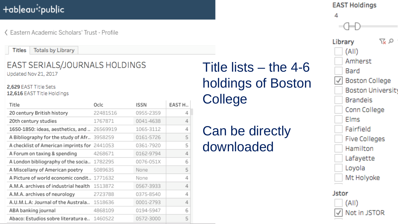### +ableau<sup>\*</sup>\*public

く Eastern Academic Scholars' Trust - Profile

**Titles Totals by Library** 

#### EAST SERIALS/JOURNALS HOLDINGS Updated Nov 21, 2017

2,629 EAST Title Sets 12,616 EAST Title Holdings

| Title                                       | Oclc     | ISSN      | EAST H |
|---------------------------------------------|----------|-----------|--------|
| 20 century British history                  | 22481516 | 0955-2359 | 4      |
| 20th century studies                        | 1767871  | 0041-4638 | 4      |
| 1650-1850: ideas, aesthetics, and           | 26569919 | 1065-3112 | 4      |
| A Bibliography for the study of Afr 3958259 |          | 0161-5726 | 5      |
| A checklist of American imprints for        | 2441053  | 0361-7920 | 5      |
| A Forum on taxing & spending                | 4268671  | 0162-9794 | 4      |
| A London bibliography of the socia 1782295  |          | 0076-051X | 6      |
| A Miscellany of American poetry             | 5089635  | None      | 5      |
| A Picture of world economic condit 1771632  |          | None      | 4      |
| A.M.A. archives of industrial health        | 1513872  | 0567-3933 | 4      |
| A.M.A. archives of neurology                | 2723788  | 0375-8540 | 4      |
| A.U.M.L.A: Journal of the Australa          | 1518636  | 0001-2793 | 4      |
| ABA banking journal                         | 4868109  | 0194-5947 | 6      |
| Abaco: Estudios sobre literatura e          | 1460522  | 0572-3000 | 5      |

Title lists – the 4-6 holdings of Boston College

## Can be directly downloaded

#### **EAST Holdings** 4 又又 Library  $(A||)$ Amherst Bard **Boston College Boston University Brandeis** Conn College **Elms** Fairfield Five Colleges Hamilton Lafayette Loyola Mt Holyoke **Jstor**  $(A||)$

Not in JSTOR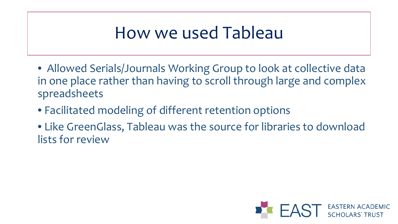## How we used Tableau

- Allowed Serials/Journals Working Group to look at collective data in one place rather than having to scroll through large and complex spreadsheets
- Facilitated modeling of different retention options
- Like GreenGlass, Tableau was the source for libraries to download lists for review

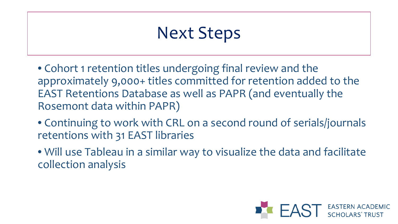# Next Steps

• Cohort 1 retention titles undergoing final review and the approximately 9,000+ titles committed for retention added to the EAST Retentions Database as well as PAPR (and eventually the Rosemont data within PAPR)

- Continuing to work with CRL on a second round of serials/journals retentions with 31 EAST libraries
- Will use Tableau in a similar way to visualize the data and facilitate collection analysis